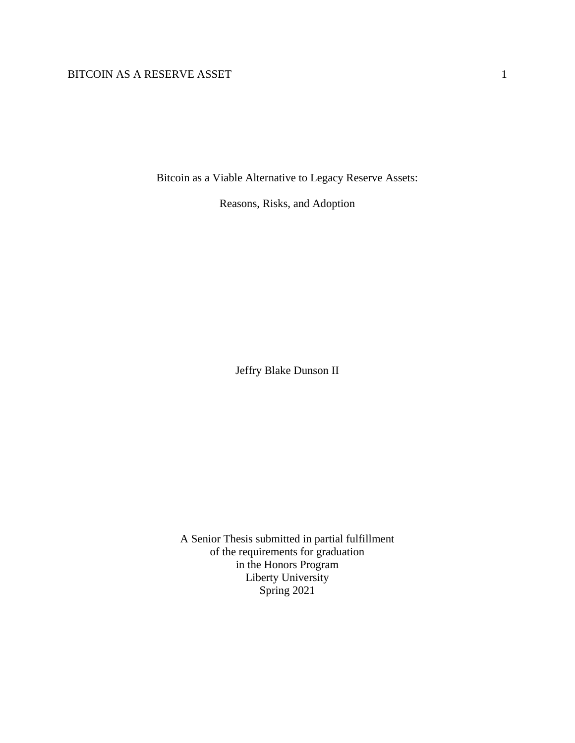Bitcoin as a Viable Alternative to Legacy Reserve Assets:

Reasons, Risks, and Adoption

Jeffry Blake Dunson II

A Senior Thesis submitted in partial fulfillment of the requirements for graduation in the Honors Program Liberty University Spring 2021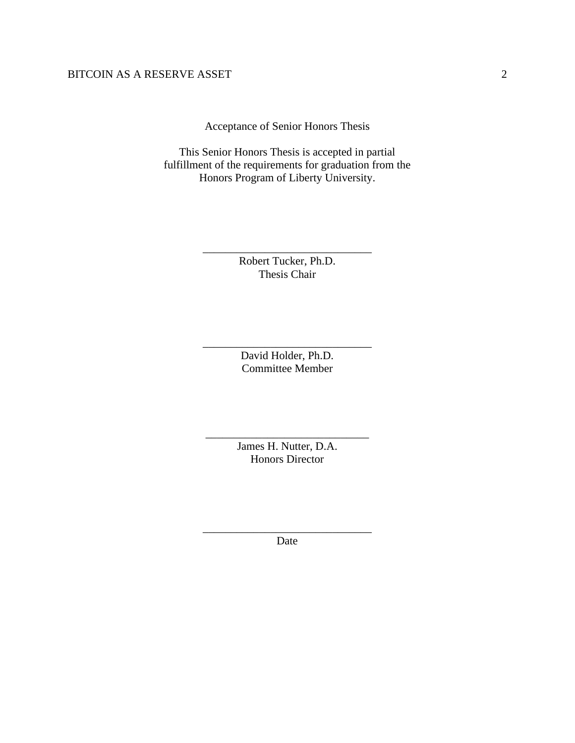Acceptance of Senior Honors Thesis

This Senior Honors Thesis is accepted in partial fulfillment of the requirements for graduation from the Honors Program of Liberty University.

> Robert Tucker, Ph.D. Thesis Chair

\_\_\_\_\_\_\_\_\_\_\_\_\_\_\_\_\_\_\_\_\_\_\_\_\_\_\_\_\_\_

David Holder, Ph.D. Committee Member

\_\_\_\_\_\_\_\_\_\_\_\_\_\_\_\_\_\_\_\_\_\_\_\_\_\_\_\_\_\_

James H. Nutter, D.A. Honors Director

\_\_\_\_\_\_\_\_\_\_\_\_\_\_\_\_\_\_\_\_\_\_\_\_\_\_\_\_\_

\_\_\_\_\_\_\_\_\_\_\_\_\_\_\_\_\_\_\_\_\_\_\_\_\_\_\_\_\_\_ Date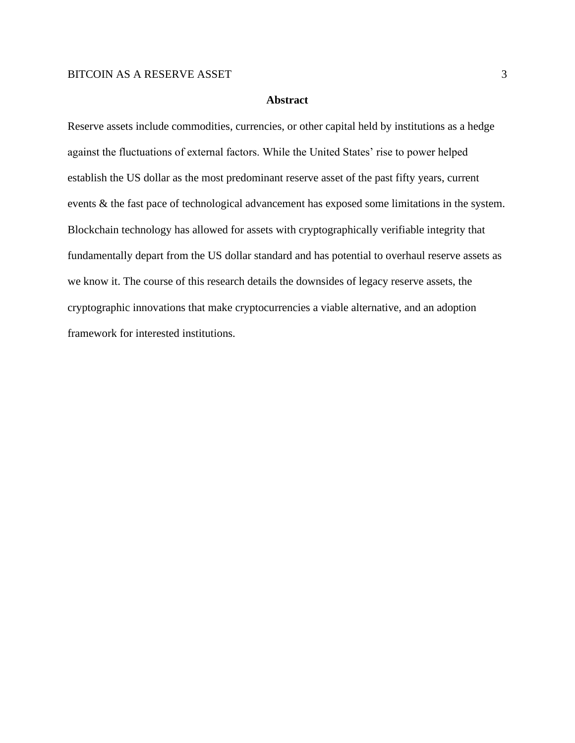# **Abstract**

Reserve assets include commodities, currencies, or other capital held by institutions as a hedge against the fluctuations of external factors. While the United States' rise to power helped establish the US dollar as the most predominant reserve asset of the past fifty years, current events & the fast pace of technological advancement has exposed some limitations in the system. Blockchain technology has allowed for assets with cryptographically verifiable integrity that fundamentally depart from the US dollar standard and has potential to overhaul reserve assets as we know it. The course of this research details the downsides of legacy reserve assets, the cryptographic innovations that make cryptocurrencies a viable alternative, and an adoption framework for interested institutions.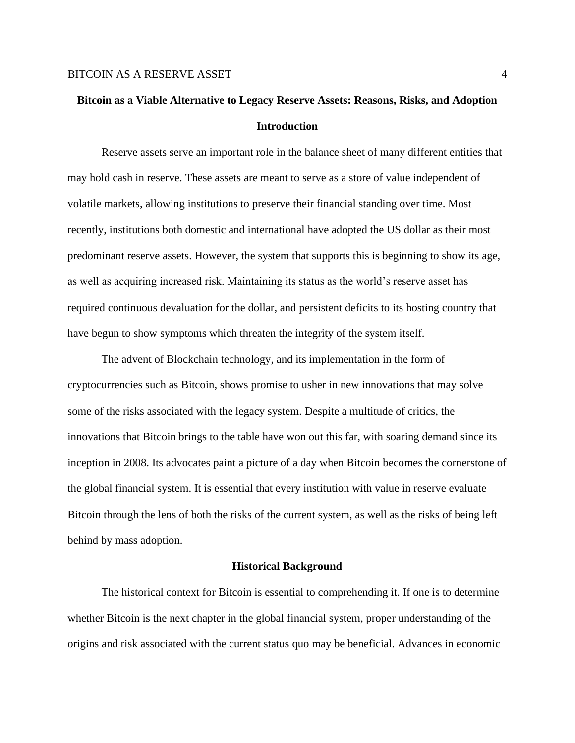# **Bitcoin as a Viable Alternative to Legacy Reserve Assets: Reasons, Risks, and Adoption Introduction**

Reserve assets serve an important role in the balance sheet of many different entities that may hold cash in reserve. These assets are meant to serve as a store of value independent of volatile markets, allowing institutions to preserve their financial standing over time. Most recently, institutions both domestic and international have adopted the US dollar as their most predominant reserve assets. However, the system that supports this is beginning to show its age, as well as acquiring increased risk. Maintaining its status as the world's reserve asset has required continuous devaluation for the dollar, and persistent deficits to its hosting country that have begun to show symptoms which threaten the integrity of the system itself.

The advent of Blockchain technology, and its implementation in the form of cryptocurrencies such as Bitcoin, shows promise to usher in new innovations that may solve some of the risks associated with the legacy system. Despite a multitude of critics, the innovations that Bitcoin brings to the table have won out this far, with soaring demand since its inception in 2008. Its advocates paint a picture of a day when Bitcoin becomes the cornerstone of the global financial system. It is essential that every institution with value in reserve evaluate Bitcoin through the lens of both the risks of the current system, as well as the risks of being left behind by mass adoption.

#### **Historical Background**

The historical context for Bitcoin is essential to comprehending it. If one is to determine whether Bitcoin is the next chapter in the global financial system, proper understanding of the origins and risk associated with the current status quo may be beneficial. Advances in economic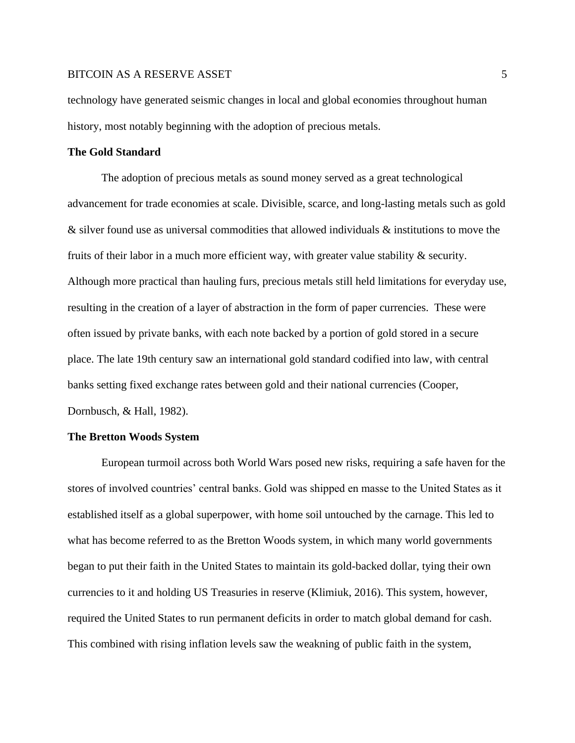technology have generated seismic changes in local and global economies throughout human history, most notably beginning with the adoption of precious metals.

#### **The Gold Standard**

The adoption of precious metals as sound money served as a great technological advancement for trade economies at scale. Divisible, scarce, and long-lasting metals such as gold & silver found use as universal commodities that allowed individuals & institutions to move the fruits of their labor in a much more efficient way, with greater value stability & security. Although more practical than hauling furs, precious metals still held limitations for everyday use, resulting in the creation of a layer of abstraction in the form of paper currencies. These were often issued by private banks, with each note backed by a portion of gold stored in a secure place. The late 19th century saw an international gold standard codified into law, with central banks setting fixed exchange rates between gold and their national currencies (Cooper, Dornbusch, & Hall, 1982).

## **The Bretton Woods System**

European turmoil across both World Wars posed new risks, requiring a safe haven for the stores of involved countries' central banks. Gold was shipped en masse to the United States as it established itself as a global superpower, with home soil untouched by the carnage. This led to what has become referred to as the Bretton Woods system, in which many world governments began to put their faith in the United States to maintain its gold-backed dollar, tying their own currencies to it and holding US Treasuries in reserve (Klimiuk, 2016). This system, however, required the United States to run permanent deficits in order to match global demand for cash. This combined with rising inflation levels saw the weakning of public faith in the system,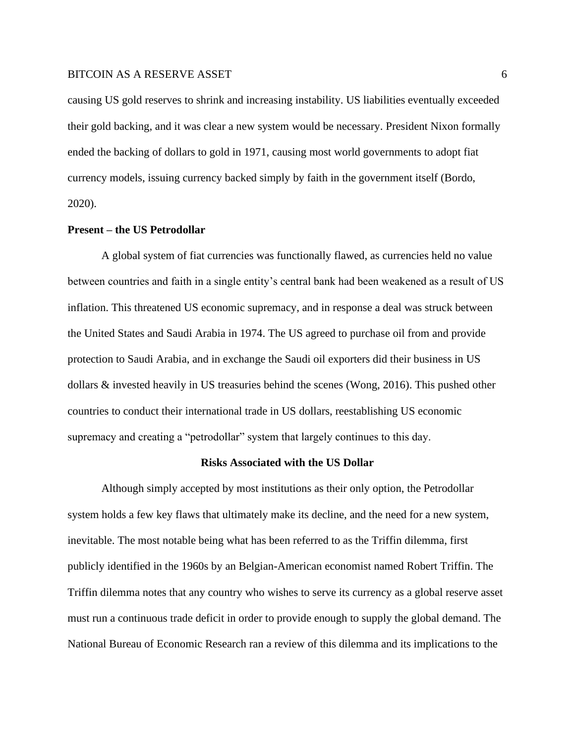causing US gold reserves to shrink and increasing instability. US liabilities eventually exceeded their gold backing, and it was clear a new system would be necessary. President Nixon formally ended the backing of dollars to gold in 1971, causing most world governments to adopt fiat currency models, issuing currency backed simply by faith in the government itself (Bordo, 2020).

#### **Present – the US Petrodollar**

A global system of fiat currencies was functionally flawed, as currencies held no value between countries and faith in a single entity's central bank had been weakened as a result of US inflation. This threatened US economic supremacy, and in response a deal was struck between the United States and Saudi Arabia in 1974. The US agreed to purchase oil from and provide protection to Saudi Arabia, and in exchange the Saudi oil exporters did their business in US dollars & invested heavily in US treasuries behind the scenes (Wong, 2016). This pushed other countries to conduct their international trade in US dollars, reestablishing US economic supremacy and creating a "petrodollar" system that largely continues to this day.

#### **Risks Associated with the US Dollar**

Although simply accepted by most institutions as their only option, the Petrodollar system holds a few key flaws that ultimately make its decline, and the need for a new system, inevitable. The most notable being what has been referred to as the Triffin dilemma, first publicly identified in the 1960s by an Belgian-American economist named Robert Triffin. The Triffin dilemma notes that any country who wishes to serve its currency as a global reserve asset must run a continuous trade deficit in order to provide enough to supply the global demand. The National Bureau of Economic Research ran a review of this dilemma and its implications to the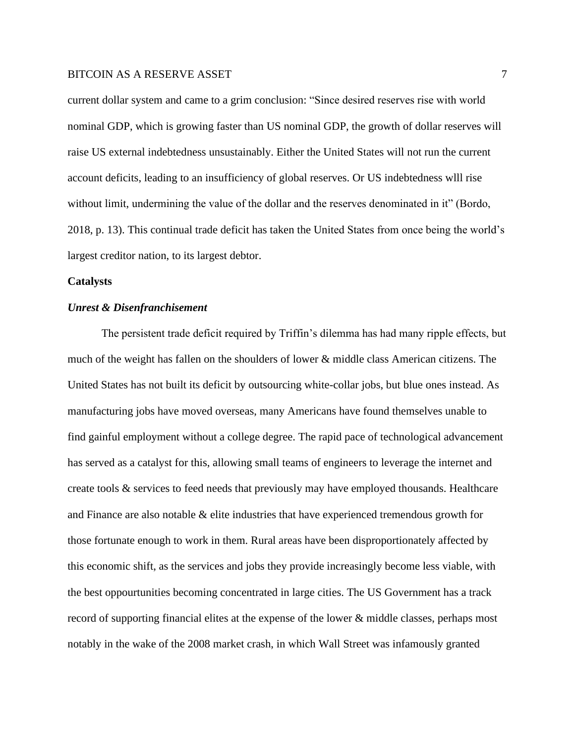current dollar system and came to a grim conclusion: "Since desired reserves rise with world nominal GDP, which is growing faster than US nominal GDP, the growth of dollar reserves will raise US external indebtedness unsustainably. Either the United States will not run the current account deficits, leading to an insufficiency of global reserves. Or US indebtedness wlll rise without limit, undermining the value of the dollar and the reserves denominated in it" (Bordo, 2018, p. 13). This continual trade deficit has taken the United States from once being the world's largest creditor nation, to its largest debtor.

#### **Catalysts**

# *Unrest & Disenfranchisement*

The persistent trade deficit required by Triffin's dilemma has had many ripple effects, but much of the weight has fallen on the shoulders of lower & middle class American citizens. The United States has not built its deficit by outsourcing white-collar jobs, but blue ones instead. As manufacturing jobs have moved overseas, many Americans have found themselves unable to find gainful employment without a college degree. The rapid pace of technological advancement has served as a catalyst for this, allowing small teams of engineers to leverage the internet and create tools & services to feed needs that previously may have employed thousands. Healthcare and Finance are also notable & elite industries that have experienced tremendous growth for those fortunate enough to work in them. Rural areas have been disproportionately affected by this economic shift, as the services and jobs they provide increasingly become less viable, with the best oppourtunities becoming concentrated in large cities. The US Government has a track record of supporting financial elites at the expense of the lower & middle classes, perhaps most notably in the wake of the 2008 market crash, in which Wall Street was infamously granted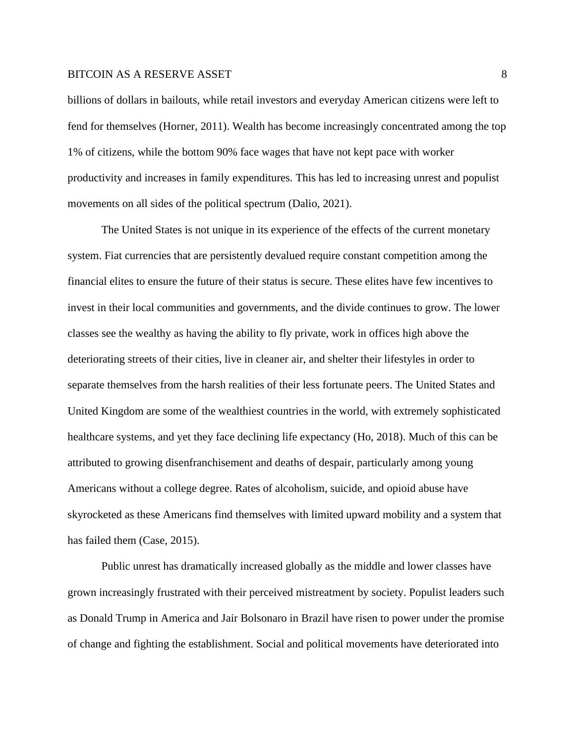billions of dollars in bailouts, while retail investors and everyday American citizens were left to fend for themselves (Horner, 2011). Wealth has become increasingly concentrated among the top 1% of citizens, while the bottom 90% face wages that have not kept pace with worker productivity and increases in family expenditures. This has led to increasing unrest and populist movements on all sides of the political spectrum (Dalio, 2021).

The United States is not unique in its experience of the effects of the current monetary system. Fiat currencies that are persistently devalued require constant competition among the financial elites to ensure the future of their status is secure. These elites have few incentives to invest in their local communities and governments, and the divide continues to grow. The lower classes see the wealthy as having the ability to fly private, work in offices high above the deteriorating streets of their cities, live in cleaner air, and shelter their lifestyles in order to separate themselves from the harsh realities of their less fortunate peers. The United States and United Kingdom are some of the wealthiest countries in the world, with extremely sophisticated healthcare systems, and yet they face declining life expectancy (Ho, 2018). Much of this can be attributed to growing disenfranchisement and deaths of despair, particularly among young Americans without a college degree. Rates of alcoholism, suicide, and opioid abuse have skyrocketed as these Americans find themselves with limited upward mobility and a system that has failed them (Case, 2015).

Public unrest has dramatically increased globally as the middle and lower classes have grown increasingly frustrated with their perceived mistreatment by society. Populist leaders such as Donald Trump in America and Jair Bolsonaro in Brazil have risen to power under the promise of change and fighting the establishment. Social and political movements have deteriorated into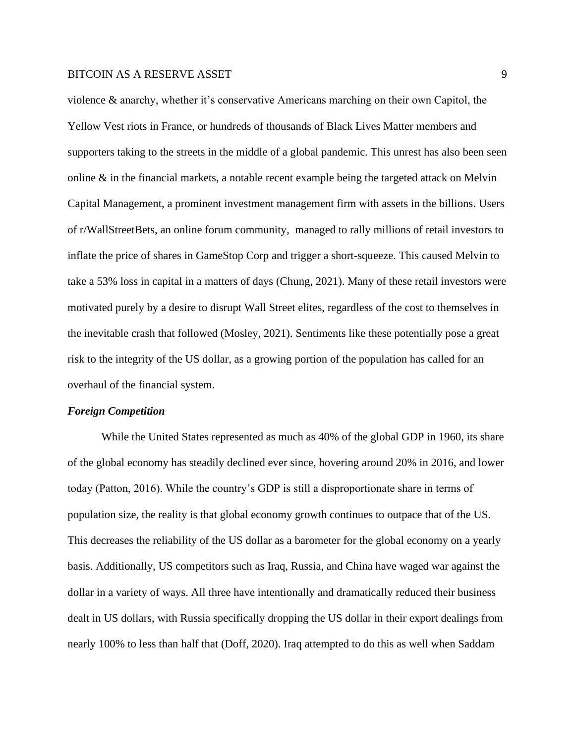violence & anarchy, whether it's conservative Americans marching on their own Capitol, the Yellow Vest riots in France, or hundreds of thousands of Black Lives Matter members and supporters taking to the streets in the middle of a global pandemic. This unrest has also been seen online  $\&$  in the financial markets, a notable recent example being the targeted attack on Melvin Capital Management, a prominent investment management firm with assets in the billions. Users of r/WallStreetBets, an online forum community, managed to rally millions of retail investors to inflate the price of shares in GameStop Corp and trigger a short-squeeze. This caused Melvin to take a 53% loss in capital in a matters of days (Chung, 2021). Many of these retail investors were motivated purely by a desire to disrupt Wall Street elites, regardless of the cost to themselves in the inevitable crash that followed (Mosley, 2021). Sentiments like these potentially pose a great risk to the integrity of the US dollar, as a growing portion of the population has called for an overhaul of the financial system.

#### *Foreign Competition*

While the United States represented as much as 40% of the global GDP in 1960, its share of the global economy has steadily declined ever since, hovering around 20% in 2016, and lower today (Patton, 2016). While the country's GDP is still a disproportionate share in terms of population size, the reality is that global economy growth continues to outpace that of the US. This decreases the reliability of the US dollar as a barometer for the global economy on a yearly basis. Additionally, US competitors such as Iraq, Russia, and China have waged war against the dollar in a variety of ways. All three have intentionally and dramatically reduced their business dealt in US dollars, with Russia specifically dropping the US dollar in their export dealings from nearly 100% to less than half that (Doff, 2020). Iraq attempted to do this as well when Saddam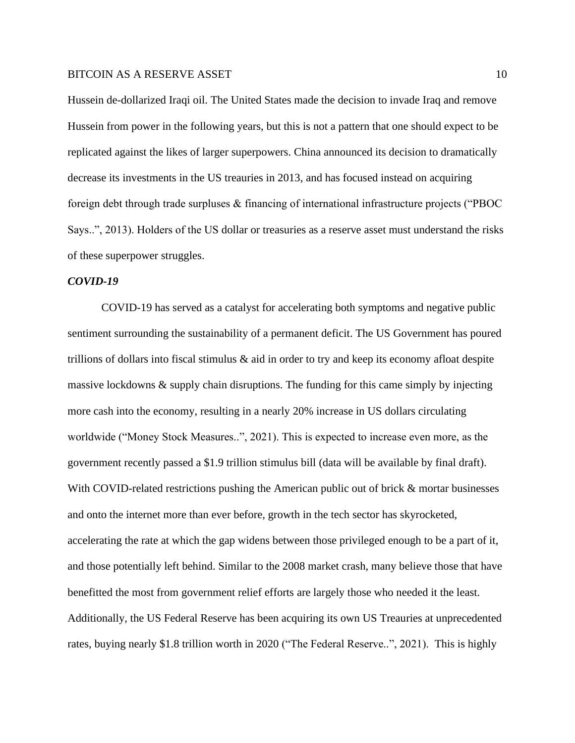Hussein de-dollarized Iraqi oil. The United States made the decision to invade Iraq and remove Hussein from power in the following years, but this is not a pattern that one should expect to be replicated against the likes of larger superpowers. China announced its decision to dramatically decrease its investments in the US treauries in 2013, and has focused instead on acquiring foreign debt through trade surpluses & financing of international infrastructure projects ("PBOC Says..", 2013). Holders of the US dollar or treasuries as a reserve asset must understand the risks of these superpower struggles.

#### *COVID-19*

COVID-19 has served as a catalyst for accelerating both symptoms and negative public sentiment surrounding the sustainability of a permanent deficit. The US Government has poured trillions of dollars into fiscal stimulus  $\&$  aid in order to try and keep its economy afloat despite massive lockdowns & supply chain disruptions. The funding for this came simply by injecting more cash into the economy, resulting in a nearly 20% increase in US dollars circulating worldwide ("Money Stock Measures..", 2021). This is expected to increase even more, as the government recently passed a \$1.9 trillion stimulus bill (data will be available by final draft). With COVID-related restrictions pushing the American public out of brick & mortar businesses and onto the internet more than ever before, growth in the tech sector has skyrocketed, accelerating the rate at which the gap widens between those privileged enough to be a part of it, and those potentially left behind. Similar to the 2008 market crash, many believe those that have benefitted the most from government relief efforts are largely those who needed it the least. Additionally, the US Federal Reserve has been acquiring its own US Treauries at unprecedented rates, buying nearly \$1.8 trillion worth in 2020 ("The Federal Reserve..", 2021). This is highly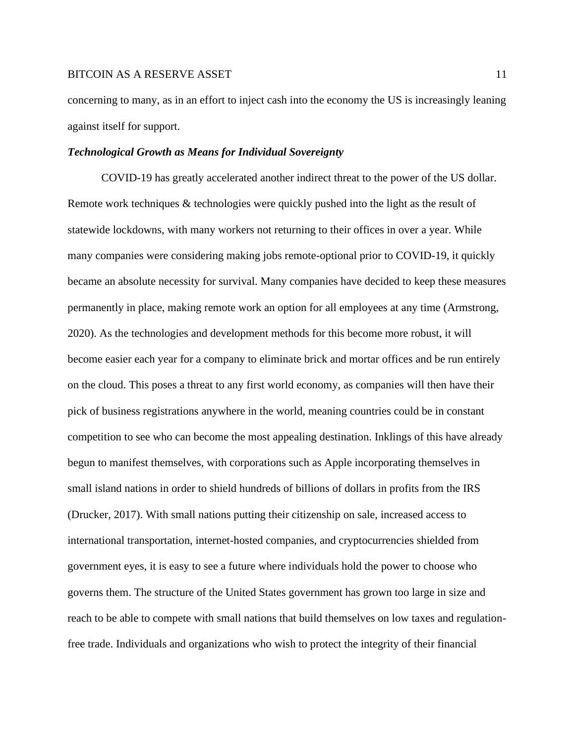concerning to many, as in an effort to inject cash into the economy the US is increasingly leaning against itself for support.

#### *Technological Growth as Means for Individual Sovereignty*

COVID-19 has greatly accelerated another indirect threat to the power of the US dollar. Remote work techniques & technologies were quickly pushed into the light as the result of statewide lockdowns, with many workers not returning to their offices in over a year. While many companies were considering making jobs remote-optional prior to COVID-19, it quickly became an absolute necessity for survival. Many companies have decided to keep these measures permanently in place, making remote work an option for all employees at any time (Armstrong, 2020). As the technologies and development methods for this become more robust, it will become easier each year for a company to eliminate brick and mortar offices and be run entirely on the cloud. This poses a threat to any first world economy, as companies will then have their pick of business registrations anywhere in the world, meaning countries could be in constant competition to see who can become the most appealing destination. Inklings of this have already begun to manifest themselves, with corporations such as Apple incorporating themselves in small island nations in order to shield hundreds of billions of dollars in profits from the IRS (Drucker, 2017). With small nations putting their citizenship on sale, increased access to international transportation, internet-hosted companies, and cryptocurrencies shielded from government eyes, it is easy to see a future where individuals hold the power to choose who governs them. The structure of the United States government has grown too large in size and reach to be able to compete with small nations that build themselves on low taxes and regulationfree trade. Individuals and organizations who wish to protect the integrity of their financial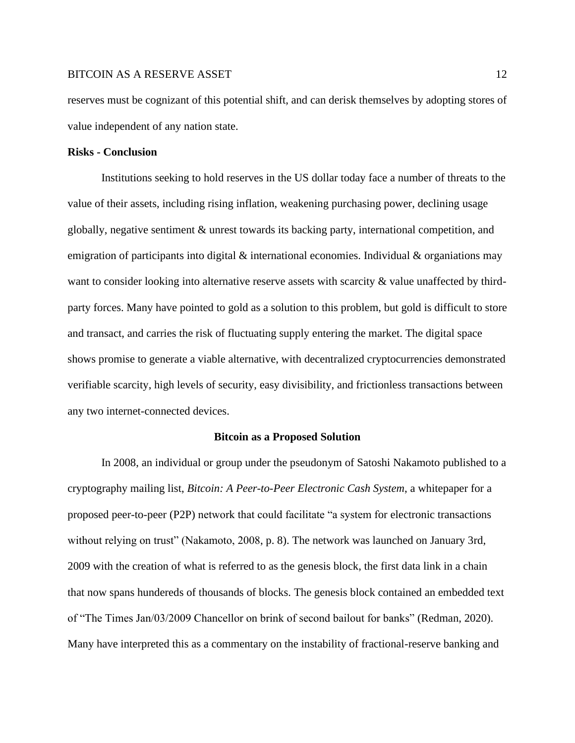reserves must be cognizant of this potential shift, and can derisk themselves by adopting stores of value independent of any nation state.

#### **Risks - Conclusion**

Institutions seeking to hold reserves in the US dollar today face a number of threats to the value of their assets, including rising inflation, weakening purchasing power, declining usage globally, negative sentiment & unrest towards its backing party, international competition, and emigration of participants into digital  $\&$  international economies. Individual  $\&$  organiations may want to consider looking into alternative reserve assets with scarcity  $\&$  value unaffected by thirdparty forces. Many have pointed to gold as a solution to this problem, but gold is difficult to store and transact, and carries the risk of fluctuating supply entering the market. The digital space shows promise to generate a viable alternative, with decentralized cryptocurrencies demonstrated verifiable scarcity, high levels of security, easy divisibility, and frictionless transactions between any two internet-connected devices.

#### **Bitcoin as a Proposed Solution**

In 2008, an individual or group under the pseudonym of Satoshi Nakamoto published to a cryptography mailing list, *Bitcoin: A Peer-to-Peer Electronic Cash System*, a whitepaper for a proposed peer-to-peer (P2P) network that could facilitate "a system for electronic transactions without relying on trust" (Nakamoto, 2008, p. 8). The network was launched on January 3rd, 2009 with the creation of what is referred to as the genesis block, the first data link in a chain that now spans hundereds of thousands of blocks. The genesis block contained an embedded text of "The Times Jan/03/2009 Chancellor on brink of second bailout for banks" (Redman, 2020). Many have interpreted this as a commentary on the instability of fractional-reserve banking and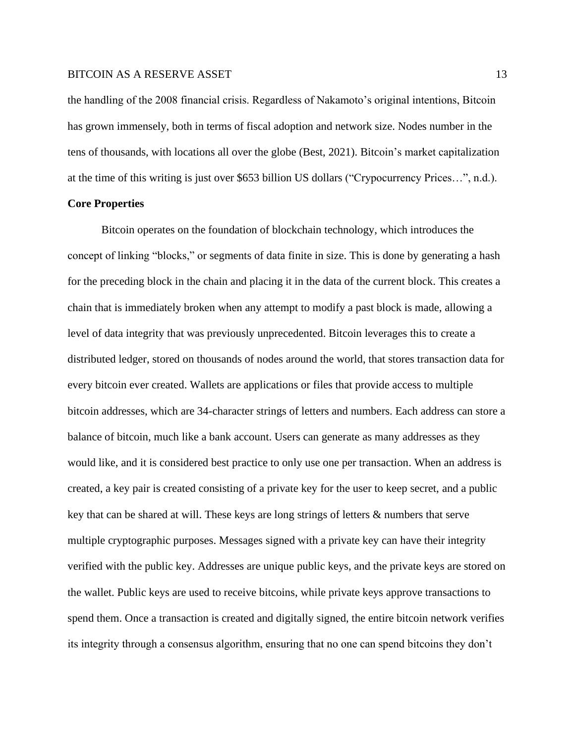the handling of the 2008 financial crisis. Regardless of Nakamoto's original intentions, Bitcoin has grown immensely, both in terms of fiscal adoption and network size. Nodes number in the tens of thousands, with locations all over the globe (Best, 2021). Bitcoin's market capitalization at the time of this writing is just over \$653 billion US dollars ("Crypocurrency Prices…", n.d.).

# **Core Properties**

Bitcoin operates on the foundation of blockchain technology, which introduces the concept of linking "blocks," or segments of data finite in size. This is done by generating a hash for the preceding block in the chain and placing it in the data of the current block. This creates a chain that is immediately broken when any attempt to modify a past block is made, allowing a level of data integrity that was previously unprecedented. Bitcoin leverages this to create a distributed ledger, stored on thousands of nodes around the world, that stores transaction data for every bitcoin ever created. Wallets are applications or files that provide access to multiple bitcoin addresses, which are 34-character strings of letters and numbers. Each address can store a balance of bitcoin, much like a bank account. Users can generate as many addresses as they would like, and it is considered best practice to only use one per transaction. When an address is created, a key pair is created consisting of a private key for the user to keep secret, and a public key that can be shared at will. These keys are long strings of letters & numbers that serve multiple cryptographic purposes. Messages signed with a private key can have their integrity verified with the public key. Addresses are unique public keys, and the private keys are stored on the wallet. Public keys are used to receive bitcoins, while private keys approve transactions to spend them. Once a transaction is created and digitally signed, the entire bitcoin network verifies its integrity through a consensus algorithm, ensuring that no one can spend bitcoins they don't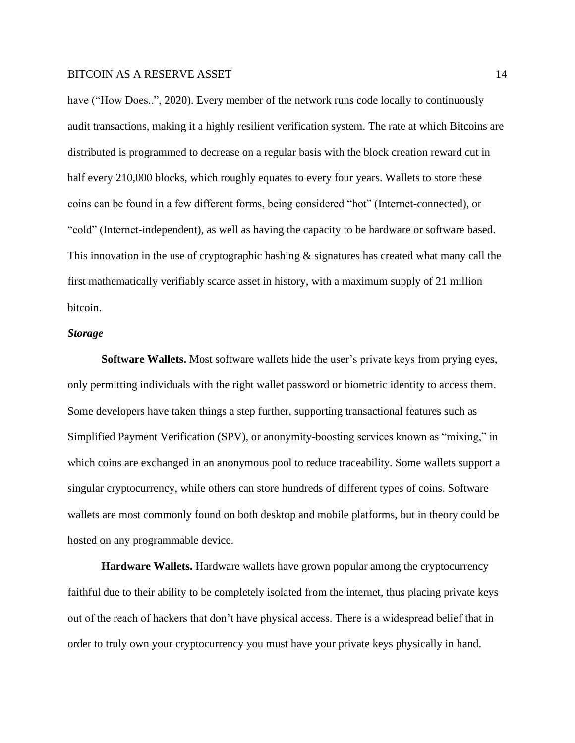have ("How Does..", 2020). Every member of the network runs code locally to continuously audit transactions, making it a highly resilient verification system. The rate at which Bitcoins are distributed is programmed to decrease on a regular basis with the block creation reward cut in half every 210,000 blocks, which roughly equates to every four years. Wallets to store these coins can be found in a few different forms, being considered "hot" (Internet-connected), or "cold" (Internet-independent), as well as having the capacity to be hardware or software based. This innovation in the use of cryptographic hashing  $\&$  signatures has created what many call the first mathematically verifiably scarce asset in history, with a maximum supply of 21 million bitcoin.

## *Storage*

**Software Wallets.** Most software wallets hide the user's private keys from prying eyes, only permitting individuals with the right wallet password or biometric identity to access them. Some developers have taken things a step further, supporting transactional features such as Simplified Payment Verification (SPV), or anonymity-boosting services known as "mixing," in which coins are exchanged in an anonymous pool to reduce traceability. Some wallets support a singular cryptocurrency, while others can store hundreds of different types of coins. Software wallets are most commonly found on both desktop and mobile platforms, but in theory could be hosted on any programmable device.

**Hardware Wallets.** Hardware wallets have grown popular among the cryptocurrency faithful due to their ability to be completely isolated from the internet, thus placing private keys out of the reach of hackers that don't have physical access. There is a widespread belief that in order to truly own your cryptocurrency you must have your private keys physically in hand.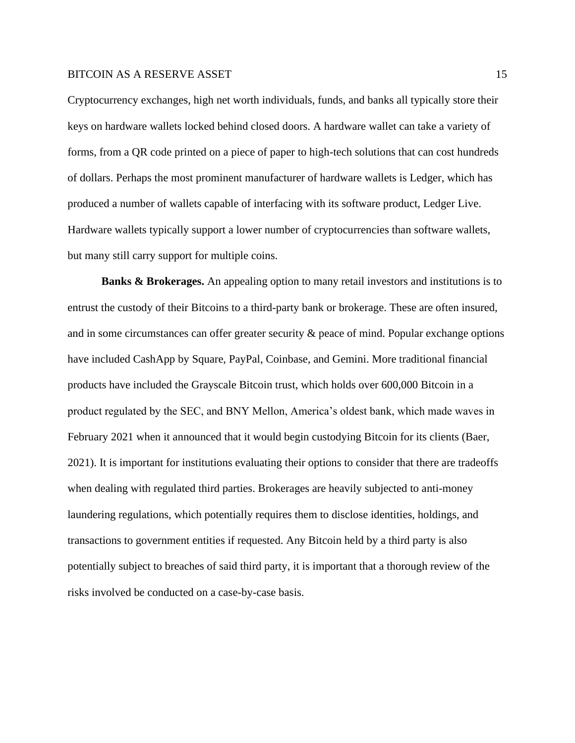Cryptocurrency exchanges, high net worth individuals, funds, and banks all typically store their keys on hardware wallets locked behind closed doors. A hardware wallet can take a variety of forms, from a QR code printed on a piece of paper to high-tech solutions that can cost hundreds of dollars. Perhaps the most prominent manufacturer of hardware wallets is Ledger, which has produced a number of wallets capable of interfacing with its software product, Ledger Live. Hardware wallets typically support a lower number of cryptocurrencies than software wallets, but many still carry support for multiple coins.

**Banks & Brokerages.** An appealing option to many retail investors and institutions is to entrust the custody of their Bitcoins to a third-party bank or brokerage. These are often insured, and in some circumstances can offer greater security & peace of mind. Popular exchange options have included CashApp by Square, PayPal, Coinbase, and Gemini. More traditional financial products have included the Grayscale Bitcoin trust, which holds over 600,000 Bitcoin in a product regulated by the SEC, and BNY Mellon, America's oldest bank, which made waves in February 2021 when it announced that it would begin custodying Bitcoin for its clients (Baer, 2021). It is important for institutions evaluating their options to consider that there are tradeoffs when dealing with regulated third parties. Brokerages are heavily subjected to anti-money laundering regulations, which potentially requires them to disclose identities, holdings, and transactions to government entities if requested. Any Bitcoin held by a third party is also potentially subject to breaches of said third party, it is important that a thorough review of the risks involved be conducted on a case-by-case basis.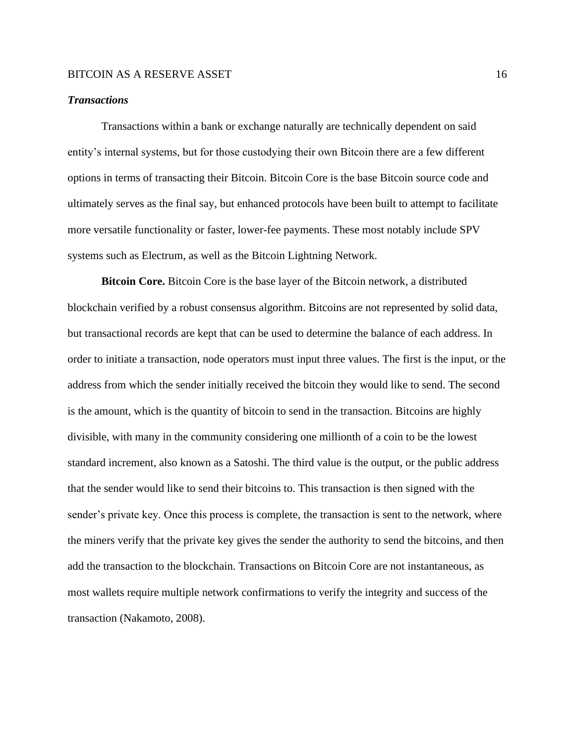# *Transactions*

Transactions within a bank or exchange naturally are technically dependent on said entity's internal systems, but for those custodying their own Bitcoin there are a few different options in terms of transacting their Bitcoin. Bitcoin Core is the base Bitcoin source code and ultimately serves as the final say, but enhanced protocols have been built to attempt to facilitate more versatile functionality or faster, lower-fee payments. These most notably include SPV systems such as Electrum, as well as the Bitcoin Lightning Network.

**Bitcoin Core.** Bitcoin Core is the base layer of the Bitcoin network, a distributed blockchain verified by a robust consensus algorithm. Bitcoins are not represented by solid data, but transactional records are kept that can be used to determine the balance of each address. In order to initiate a transaction, node operators must input three values. The first is the input, or the address from which the sender initially received the bitcoin they would like to send. The second is the amount, which is the quantity of bitcoin to send in the transaction. Bitcoins are highly divisible, with many in the community considering one millionth of a coin to be the lowest standard increment, also known as a Satoshi. The third value is the output, or the public address that the sender would like to send their bitcoins to. This transaction is then signed with the sender's private key. Once this process is complete, the transaction is sent to the network, where the miners verify that the private key gives the sender the authority to send the bitcoins, and then add the transaction to the blockchain. Transactions on Bitcoin Core are not instantaneous, as most wallets require multiple network confirmations to verify the integrity and success of the transaction (Nakamoto, 2008).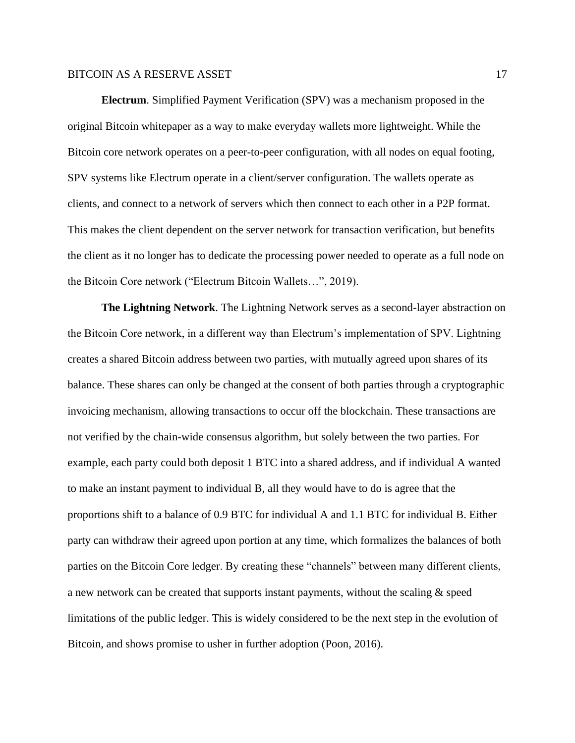**Electrum**. Simplified Payment Verification (SPV) was a mechanism proposed in the original Bitcoin whitepaper as a way to make everyday wallets more lightweight. While the Bitcoin core network operates on a peer-to-peer configuration, with all nodes on equal footing, SPV systems like Electrum operate in a client/server configuration. The wallets operate as clients, and connect to a network of servers which then connect to each other in a P2P format. This makes the client dependent on the server network for transaction verification, but benefits the client as it no longer has to dedicate the processing power needed to operate as a full node on the Bitcoin Core network ("Electrum Bitcoin Wallets…", 2019).

**The Lightning Network**. The Lightning Network serves as a second-layer abstraction on the Bitcoin Core network, in a different way than Electrum's implementation of SPV. Lightning creates a shared Bitcoin address between two parties, with mutually agreed upon shares of its balance. These shares can only be changed at the consent of both parties through a cryptographic invoicing mechanism, allowing transactions to occur off the blockchain. These transactions are not verified by the chain-wide consensus algorithm, but solely between the two parties. For example, each party could both deposit 1 BTC into a shared address, and if individual A wanted to make an instant payment to individual B, all they would have to do is agree that the proportions shift to a balance of 0.9 BTC for individual A and 1.1 BTC for individual B. Either party can withdraw their agreed upon portion at any time, which formalizes the balances of both parties on the Bitcoin Core ledger. By creating these "channels" between many different clients, a new network can be created that supports instant payments, without the scaling & speed limitations of the public ledger. This is widely considered to be the next step in the evolution of Bitcoin, and shows promise to usher in further adoption (Poon, 2016).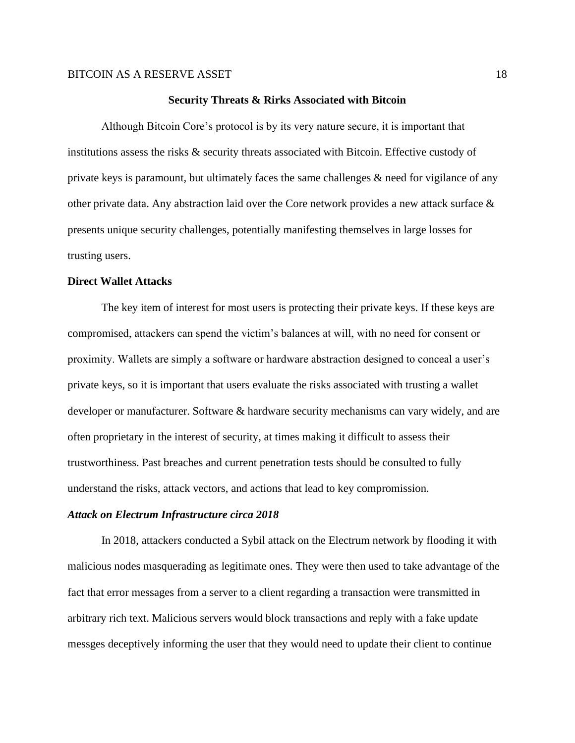#### **Security Threats & Rirks Associated with Bitcoin**

Although Bitcoin Core's protocol is by its very nature secure, it is important that institutions assess the risks & security threats associated with Bitcoin. Effective custody of private keys is paramount, but ultimately faces the same challenges  $\&$  need for vigilance of any other private data. Any abstraction laid over the Core network provides a new attack surface & presents unique security challenges, potentially manifesting themselves in large losses for trusting users.

#### **Direct Wallet Attacks**

The key item of interest for most users is protecting their private keys. If these keys are compromised, attackers can spend the victim's balances at will, with no need for consent or proximity. Wallets are simply a software or hardware abstraction designed to conceal a user's private keys, so it is important that users evaluate the risks associated with trusting a wallet developer or manufacturer. Software & hardware security mechanisms can vary widely, and are often proprietary in the interest of security, at times making it difficult to assess their trustworthiness. Past breaches and current penetration tests should be consulted to fully understand the risks, attack vectors, and actions that lead to key compromission.

#### *Attack on Electrum Infrastructure circa 2018*

In 2018, attackers conducted a Sybil attack on the Electrum network by flooding it with malicious nodes masquerading as legitimate ones. They were then used to take advantage of the fact that error messages from a server to a client regarding a transaction were transmitted in arbitrary rich text. Malicious servers would block transactions and reply with a fake update messges deceptively informing the user that they would need to update their client to continue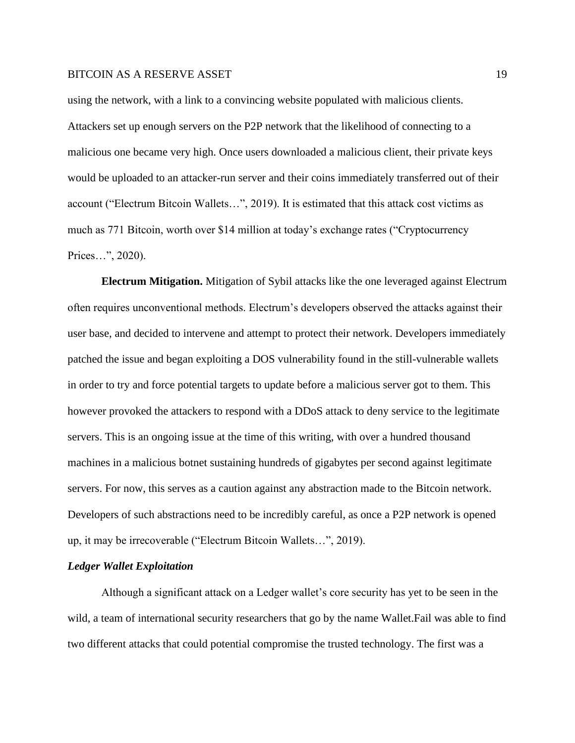using the network, with a link to a convincing website populated with malicious clients. Attackers set up enough servers on the P2P network that the likelihood of connecting to a malicious one became very high. Once users downloaded a malicious client, their private keys would be uploaded to an attacker-run server and their coins immediately transferred out of their account ("Electrum Bitcoin Wallets…", 2019). It is estimated that this attack cost victims as much as 771 Bitcoin, worth over \$14 million at today's exchange rates ("Cryptocurrency Prices…", 2020).

**Electrum Mitigation.** Mitigation of Sybil attacks like the one leveraged against Electrum often requires unconventional methods. Electrum's developers observed the attacks against their user base, and decided to intervene and attempt to protect their network. Developers immediately patched the issue and began exploiting a DOS vulnerability found in the still-vulnerable wallets in order to try and force potential targets to update before a malicious server got to them. This however provoked the attackers to respond with a DDoS attack to deny service to the legitimate servers. This is an ongoing issue at the time of this writing, with over a hundred thousand machines in a malicious botnet sustaining hundreds of gigabytes per second against legitimate servers. For now, this serves as a caution against any abstraction made to the Bitcoin network. Developers of such abstractions need to be incredibly careful, as once a P2P network is opened up, it may be irrecoverable ("Electrum Bitcoin Wallets…", 2019).

# *Ledger Wallet Exploitation*

Although a significant attack on a Ledger wallet's core security has yet to be seen in the wild, a team of international security researchers that go by the name Wallet.Fail was able to find two different attacks that could potential compromise the trusted technology. The first was a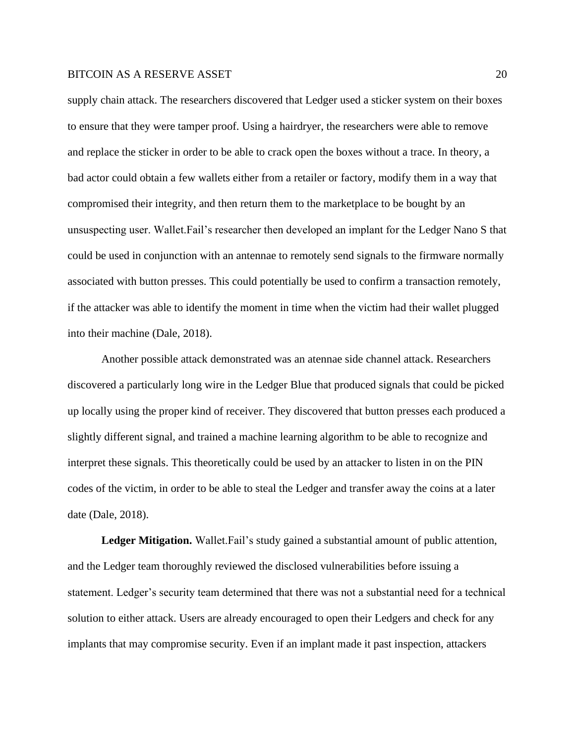supply chain attack. The researchers discovered that Ledger used a sticker system on their boxes to ensure that they were tamper proof. Using a hairdryer, the researchers were able to remove and replace the sticker in order to be able to crack open the boxes without a trace. In theory, a bad actor could obtain a few wallets either from a retailer or factory, modify them in a way that compromised their integrity, and then return them to the marketplace to be bought by an unsuspecting user. Wallet.Fail's researcher then developed an implant for the Ledger Nano S that could be used in conjunction with an antennae to remotely send signals to the firmware normally associated with button presses. This could potentially be used to confirm a transaction remotely, if the attacker was able to identify the moment in time when the victim had their wallet plugged into their machine (Dale, 2018).

Another possible attack demonstrated was an atennae side channel attack. Researchers discovered a particularly long wire in the Ledger Blue that produced signals that could be picked up locally using the proper kind of receiver. They discovered that button presses each produced a slightly different signal, and trained a machine learning algorithm to be able to recognize and interpret these signals. This theoretically could be used by an attacker to listen in on the PIN codes of the victim, in order to be able to steal the Ledger and transfer away the coins at a later date (Dale, 2018).

**Ledger Mitigation.** Wallet.Fail's study gained a substantial amount of public attention, and the Ledger team thoroughly reviewed the disclosed vulnerabilities before issuing a statement. Ledger's security team determined that there was not a substantial need for a technical solution to either attack. Users are already encouraged to open their Ledgers and check for any implants that may compromise security. Even if an implant made it past inspection, attackers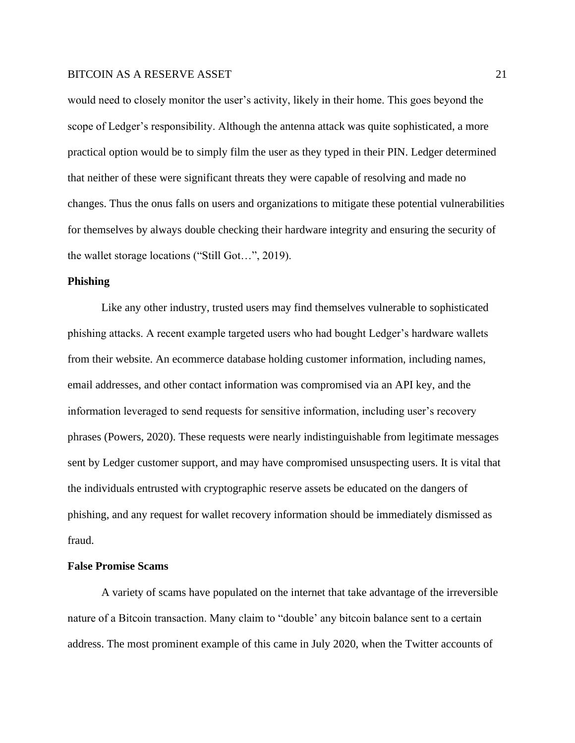would need to closely monitor the user's activity, likely in their home. This goes beyond the scope of Ledger's responsibility. Although the antenna attack was quite sophisticated, a more practical option would be to simply film the user as they typed in their PIN. Ledger determined that neither of these were significant threats they were capable of resolving and made no changes. Thus the onus falls on users and organizations to mitigate these potential vulnerabilities for themselves by always double checking their hardware integrity and ensuring the security of the wallet storage locations ("Still Got…", 2019).

# **Phishing**

Like any other industry, trusted users may find themselves vulnerable to sophisticated phishing attacks. A recent example targeted users who had bought Ledger's hardware wallets from their website. An ecommerce database holding customer information, including names, email addresses, and other contact information was compromised via an API key, and the information leveraged to send requests for sensitive information, including user's recovery phrases (Powers, 2020). These requests were nearly indistinguishable from legitimate messages sent by Ledger customer support, and may have compromised unsuspecting users. It is vital that the individuals entrusted with cryptographic reserve assets be educated on the dangers of phishing, and any request for wallet recovery information should be immediately dismissed as fraud.

# **False Promise Scams**

A variety of scams have populated on the internet that take advantage of the irreversible nature of a Bitcoin transaction. Many claim to "double' any bitcoin balance sent to a certain address. The most prominent example of this came in July 2020, when the Twitter accounts of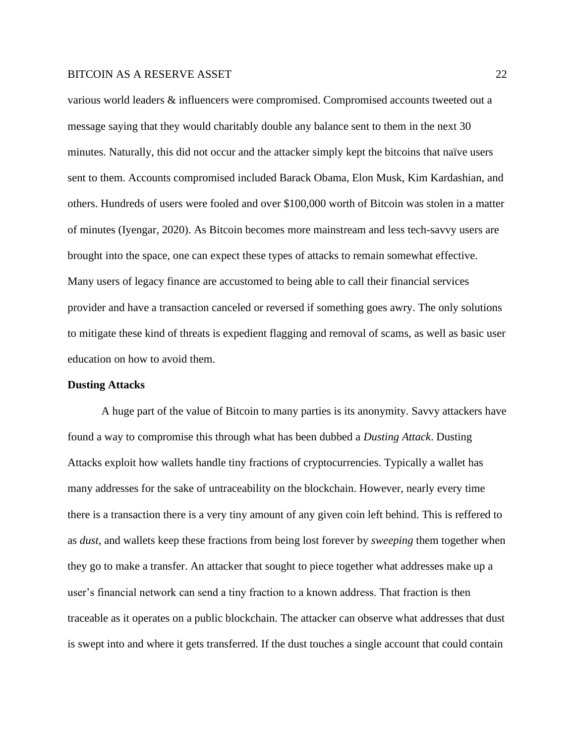various world leaders & influencers were compromised. Compromised accounts tweeted out a message saying that they would charitably double any balance sent to them in the next 30 minutes. Naturally, this did not occur and the attacker simply kept the bitcoins that naïve users sent to them. Accounts compromised included Barack Obama, Elon Musk, Kim Kardashian, and others. Hundreds of users were fooled and over \$100,000 worth of Bitcoin was stolen in a matter of minutes (Iyengar, 2020). As Bitcoin becomes more mainstream and less tech-savvy users are brought into the space, one can expect these types of attacks to remain somewhat effective. Many users of legacy finance are accustomed to being able to call their financial services provider and have a transaction canceled or reversed if something goes awry. The only solutions to mitigate these kind of threats is expedient flagging and removal of scams, as well as basic user education on how to avoid them.

#### **Dusting Attacks**

A huge part of the value of Bitcoin to many parties is its anonymity. Savvy attackers have found a way to compromise this through what has been dubbed a *Dusting Attack*. Dusting Attacks exploit how wallets handle tiny fractions of cryptocurrencies. Typically a wallet has many addresses for the sake of untraceability on the blockchain. However, nearly every time there is a transaction there is a very tiny amount of any given coin left behind. This is reffered to as *dust*, and wallets keep these fractions from being lost forever by *sweeping* them together when they go to make a transfer. An attacker that sought to piece together what addresses make up a user's financial network can send a tiny fraction to a known address. That fraction is then traceable as it operates on a public blockchain. The attacker can observe what addresses that dust is swept into and where it gets transferred. If the dust touches a single account that could contain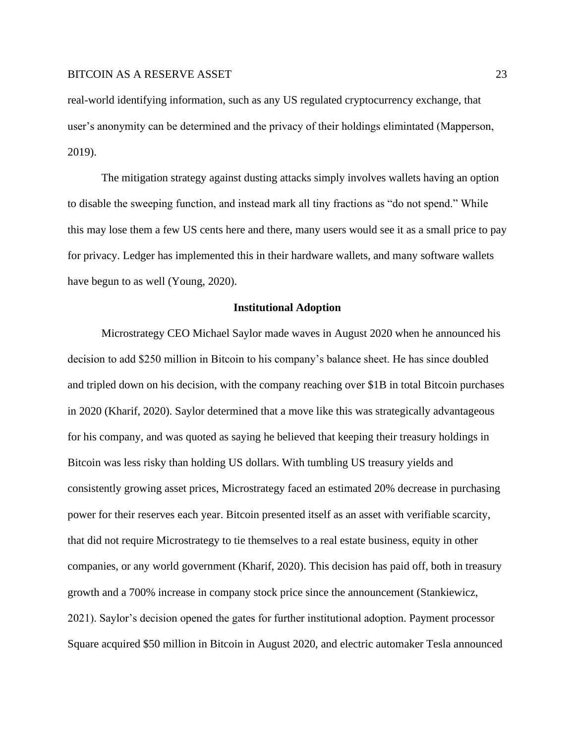real-world identifying information, such as any US regulated cryptocurrency exchange, that user's anonymity can be determined and the privacy of their holdings elimintated (Mapperson, 2019).

The mitigation strategy against dusting attacks simply involves wallets having an option to disable the sweeping function, and instead mark all tiny fractions as "do not spend." While this may lose them a few US cents here and there, many users would see it as a small price to pay for privacy. Ledger has implemented this in their hardware wallets, and many software wallets have begun to as well (Young, 2020).

#### **Institutional Adoption**

Microstrategy CEO Michael Saylor made waves in August 2020 when he announced his decision to add \$250 million in Bitcoin to his company's balance sheet. He has since doubled and tripled down on his decision, with the company reaching over \$1B in total Bitcoin purchases in 2020 (Kharif, 2020). Saylor determined that a move like this was strategically advantageous for his company, and was quoted as saying he believed that keeping their treasury holdings in Bitcoin was less risky than holding US dollars. With tumbling US treasury yields and consistently growing asset prices, Microstrategy faced an estimated 20% decrease in purchasing power for their reserves each year. Bitcoin presented itself as an asset with verifiable scarcity, that did not require Microstrategy to tie themselves to a real estate business, equity in other companies, or any world government (Kharif, 2020). This decision has paid off, both in treasury growth and a 700% increase in company stock price since the announcement (Stankiewicz, 2021). Saylor's decision opened the gates for further institutional adoption. Payment processor Square acquired \$50 million in Bitcoin in August 2020, and electric automaker Tesla announced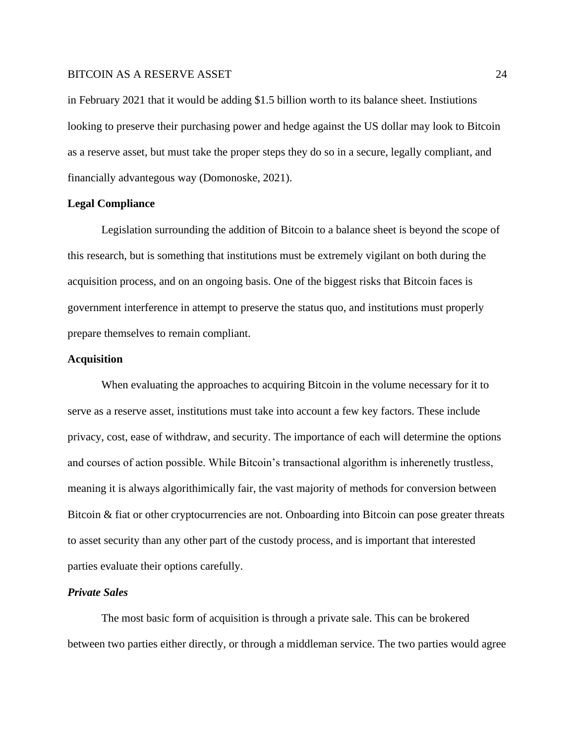in February 2021 that it would be adding \$1.5 billion worth to its balance sheet. Instiutions looking to preserve their purchasing power and hedge against the US dollar may look to Bitcoin as a reserve asset, but must take the proper steps they do so in a secure, legally compliant, and financially advantegous way (Domonoske, 2021).

#### **Legal Compliance**

Legislation surrounding the addition of Bitcoin to a balance sheet is beyond the scope of this research, but is something that institutions must be extremely vigilant on both during the acquisition process, and on an ongoing basis. One of the biggest risks that Bitcoin faces is government interference in attempt to preserve the status quo, and institutions must properly prepare themselves to remain compliant.

#### **Acquisition**

When evaluating the approaches to acquiring Bitcoin in the volume necessary for it to serve as a reserve asset, institutions must take into account a few key factors. These include privacy, cost, ease of withdraw, and security. The importance of each will determine the options and courses of action possible. While Bitcoin's transactional algorithm is inherenetly trustless, meaning it is always algorithimically fair, the vast majority of methods for conversion between Bitcoin & fiat or other cryptocurrencies are not. Onboarding into Bitcoin can pose greater threats to asset security than any other part of the custody process, and is important that interested parties evaluate their options carefully.

# *Private Sales*

The most basic form of acquisition is through a private sale. This can be brokered between two parties either directly, or through a middleman service. The two parties would agree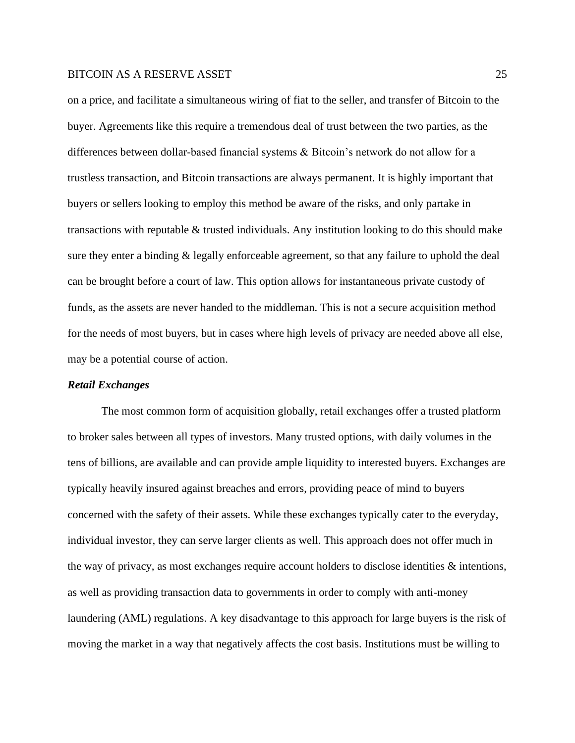on a price, and facilitate a simultaneous wiring of fiat to the seller, and transfer of Bitcoin to the buyer. Agreements like this require a tremendous deal of trust between the two parties, as the differences between dollar-based financial systems & Bitcoin's network do not allow for a trustless transaction, and Bitcoin transactions are always permanent. It is highly important that buyers or sellers looking to employ this method be aware of the risks, and only partake in transactions with reputable & trusted individuals. Any institution looking to do this should make sure they enter a binding & legally enforceable agreement, so that any failure to uphold the deal can be brought before a court of law. This option allows for instantaneous private custody of funds, as the assets are never handed to the middleman. This is not a secure acquisition method for the needs of most buyers, but in cases where high levels of privacy are needed above all else, may be a potential course of action.

#### *Retail Exchanges*

The most common form of acquisition globally, retail exchanges offer a trusted platform to broker sales between all types of investors. Many trusted options, with daily volumes in the tens of billions, are available and can provide ample liquidity to interested buyers. Exchanges are typically heavily insured against breaches and errors, providing peace of mind to buyers concerned with the safety of their assets. While these exchanges typically cater to the everyday, individual investor, they can serve larger clients as well. This approach does not offer much in the way of privacy, as most exchanges require account holders to disclose identities  $\&$  intentions, as well as providing transaction data to governments in order to comply with anti-money laundering (AML) regulations. A key disadvantage to this approach for large buyers is the risk of moving the market in a way that negatively affects the cost basis. Institutions must be willing to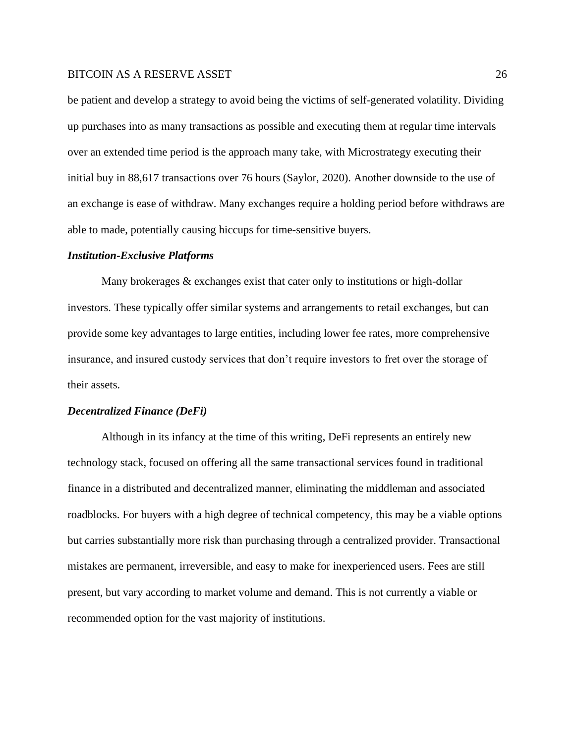be patient and develop a strategy to avoid being the victims of self-generated volatility. Dividing up purchases into as many transactions as possible and executing them at regular time intervals over an extended time period is the approach many take, with Microstrategy executing their initial buy in 88,617 transactions over 76 hours (Saylor, 2020). Another downside to the use of an exchange is ease of withdraw. Many exchanges require a holding period before withdraws are able to made, potentially causing hiccups for time-sensitive buyers.

#### *Institution-Exclusive Platforms*

Many brokerages & exchanges exist that cater only to institutions or high-dollar investors. These typically offer similar systems and arrangements to retail exchanges, but can provide some key advantages to large entities, including lower fee rates, more comprehensive insurance, and insured custody services that don't require investors to fret over the storage of their assets.

#### *Decentralized Finance (DeFi)*

Although in its infancy at the time of this writing, DeFi represents an entirely new technology stack, focused on offering all the same transactional services found in traditional finance in a distributed and decentralized manner, eliminating the middleman and associated roadblocks. For buyers with a high degree of technical competency, this may be a viable options but carries substantially more risk than purchasing through a centralized provider. Transactional mistakes are permanent, irreversible, and easy to make for inexperienced users. Fees are still present, but vary according to market volume and demand. This is not currently a viable or recommended option for the vast majority of institutions.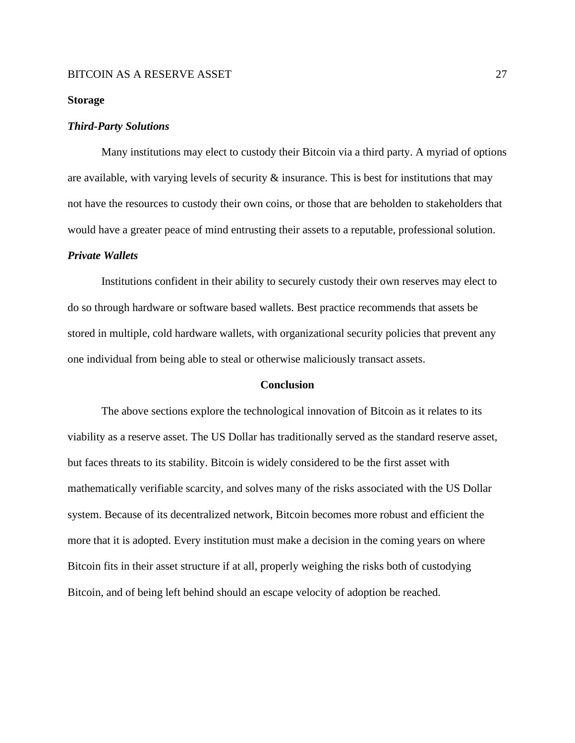#### **Storage**

#### *Third-Party Solutions*

Many institutions may elect to custody their Bitcoin via a third party. A myriad of options are available, with varying levels of security  $\&$  insurance. This is best for institutions that may not have the resources to custody their own coins, or those that are beholden to stakeholders that would have a greater peace of mind entrusting their assets to a reputable, professional solution.

#### *Private Wallets*

Institutions confident in their ability to securely custody their own reserves may elect to do so through hardware or software based wallets. Best practice recommends that assets be stored in multiple, cold hardware wallets, with organizational security policies that prevent any one individual from being able to steal or otherwise maliciously transact assets.

#### **Conclusion**

The above sections explore the technological innovation of Bitcoin as it relates to its viability as a reserve asset. The US Dollar has traditionally served as the standard reserve asset, but faces threats to its stability. Bitcoin is widely considered to be the first asset with mathematically verifiable scarcity, and solves many of the risks associated with the US Dollar system. Because of its decentralized network, Bitcoin becomes more robust and efficient the more that it is adopted. Every institution must make a decision in the coming years on where Bitcoin fits in their asset structure if at all, properly weighing the risks both of custodying Bitcoin, and of being left behind should an escape velocity of adoption be reached.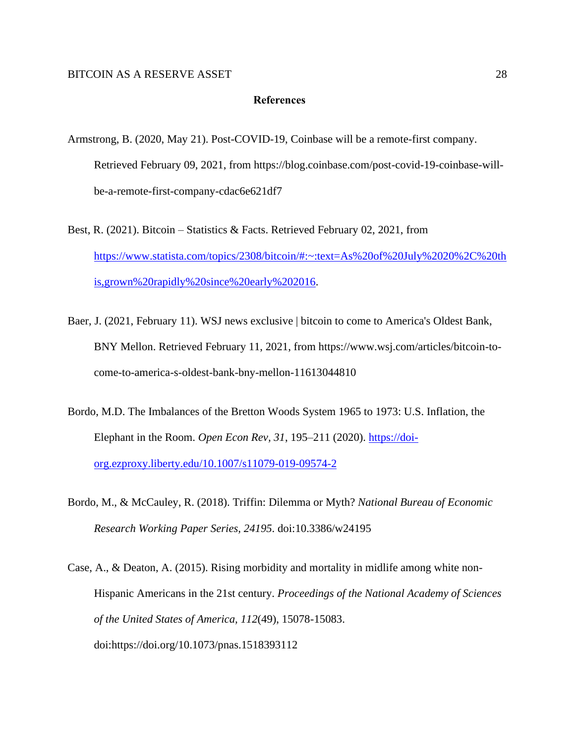## **References**

- Armstrong, B. (2020, May 21). Post-COVID-19, Coinbase will be a remote-first company. Retrieved February 09, 2021, from https://blog.coinbase.com/post-covid-19-coinbase-willbe-a-remote-first-company-cdac6e621df7
- Best, R. (2021). Bitcoin Statistics & Facts. Retrieved February 02, 2021, from [https://www.statista.com/topics/2308/bitcoin/#:~:text=As%20of%20July%2020%2C%20th](https://www.statista.com/topics/2308/bitcoin/#:~:text=As%20of%20July%2020%2C%20this,grown%20rapidly%20since%20early%202016) [is,grown%20rapidly%20since%20early%202016.](https://www.statista.com/topics/2308/bitcoin/#:~:text=As%20of%20July%2020%2C%20this,grown%20rapidly%20since%20early%202016)
- Baer, J. (2021, February 11). WSJ news exclusive | bitcoin to come to America's Oldest Bank, BNY Mellon. Retrieved February 11, 2021, from https://www.wsj.com/articles/bitcoin-tocome-to-america-s-oldest-bank-bny-mellon-11613044810
- Bordo, M.D. The Imbalances of the Bretton Woods System 1965 to 1973: U.S. Inflation, the Elephant in the Room. *Open Econ Rev, 31*, 195–211 (2020). [https://doi](https://doi-org.ezproxy.liberty.edu/10.1007/s11079-019-09574-2)[org.ezproxy.liberty.edu/10.1007/s11079-019-09574-2](https://doi-org.ezproxy.liberty.edu/10.1007/s11079-019-09574-2)
- Bordo, M., & McCauley, R. (2018). Triffin: Dilemma or Myth? *National Bureau of Economic Research Working Paper Series, 24195*. doi:10.3386/w24195
- Case, A., & Deaton, A. (2015). Rising morbidity and mortality in midlife among white non-Hispanic Americans in the 21st century. *Proceedings of the National Academy of Sciences of the United States of America, 112*(49), 15078-15083. doi:https://doi.org/10.1073/pnas.1518393112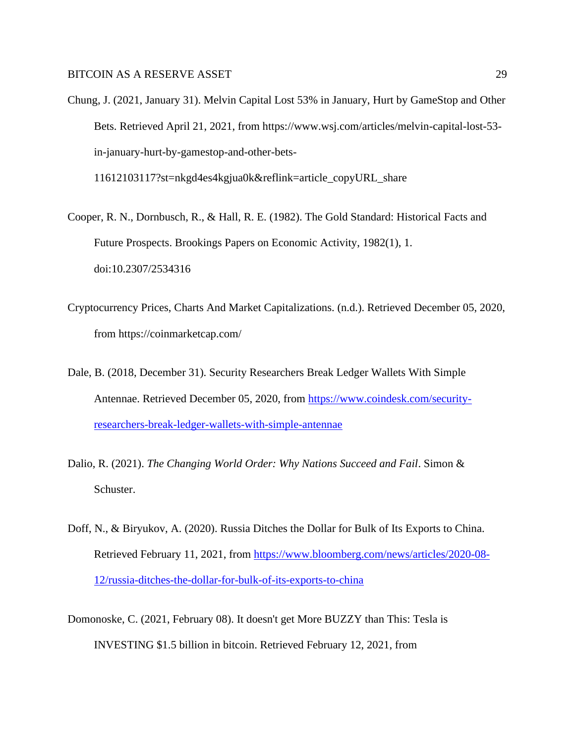Chung, J. (2021, January 31). Melvin Capital Lost 53% in January, Hurt by GameStop and Other Bets. Retrieved April 21, 2021, from https://www.wsj.com/articles/melvin-capital-lost-53 in-january-hurt-by-gamestop-and-other-bets-

11612103117?st=nkgd4es4kgjua0k&reflink=article\_copyURL\_share

- Cooper, R. N., Dornbusch, R., & Hall, R. E. (1982). The Gold Standard: Historical Facts and Future Prospects. Brookings Papers on Economic Activity, 1982(1), 1. doi:10.2307/2534316
- Cryptocurrency Prices, Charts And Market Capitalizations. (n.d.). Retrieved December 05, 2020, from https://coinmarketcap.com/
- Dale, B. (2018, December 31). Security Researchers Break Ledger Wallets With Simple Antennae. Retrieved December 05, 2020, from [https://www.coindesk.com/security](https://www.coindesk.com/security-researchers-break-ledger-wallets-with-simple-antennae)[researchers-break-ledger-wallets-with-simple-antennae](https://www.coindesk.com/security-researchers-break-ledger-wallets-with-simple-antennae)
- Dalio, R. (2021). *The Changing World Order: Why Nations Succeed and Fail*. Simon & Schuster.
- Doff, N., & Biryukov, A. (2020). Russia Ditches the Dollar for Bulk of Its Exports to China. Retrieved February 11, 2021, from [https://www.bloomberg.com/news/articles/2020-08-](https://www.bloomberg.com/news/articles/2020-08-12/russia-ditches-the-dollar-for-bulk-of-its-exports-to-china) [12/russia-ditches-the-dollar-for-bulk-of-its-exports-to-china](https://www.bloomberg.com/news/articles/2020-08-12/russia-ditches-the-dollar-for-bulk-of-its-exports-to-china)
- Domonoske, C. (2021, February 08). It doesn't get More BUZZY than This: Tesla is INVESTING \$1.5 billion in bitcoin. Retrieved February 12, 2021, from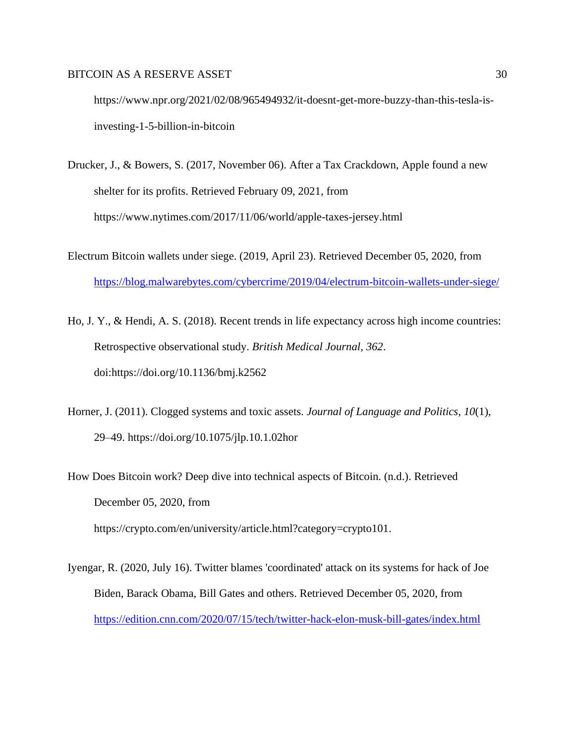https://www.npr.org/2021/02/08/965494932/it-doesnt-get-more-buzzy-than-this-tesla-isinvesting-1-5-billion-in-bitcoin

- Drucker, J., & Bowers, S. (2017, November 06). After a Tax Crackdown, Apple found a new shelter for its profits. Retrieved February 09, 2021, from https://www.nytimes.com/2017/11/06/world/apple-taxes-jersey.html
- Electrum Bitcoin wallets under siege. (2019, April 23). Retrieved December 05, 2020, from <https://blog.malwarebytes.com/cybercrime/2019/04/electrum-bitcoin-wallets-under-siege/>
- Ho, J. Y., & Hendi, A. S. (2018). Recent trends in life expectancy across high income countries: Retrospective observational study. *British Medical Journal, 362*. doi:https://doi.org/10.1136/bmj.k2562
- Horner, J. (2011). Clogged systems and toxic assets. *Journal of Language and Politics, 10*(1), 29–49. https://doi.org/10.1075/jlp.10.1.02hor
- How Does Bitcoin work? Deep dive into technical aspects of Bitcoin. (n.d.). Retrieved December 05, 2020, from

https://crypto.com/en/university/article.html?category=crypto101.

Iyengar, R. (2020, July 16). Twitter blames 'coordinated' attack on its systems for hack of Joe Biden, Barack Obama, Bill Gates and others. Retrieved December 05, 2020, from <https://edition.cnn.com/2020/07/15/tech/twitter-hack-elon-musk-bill-gates/index.html>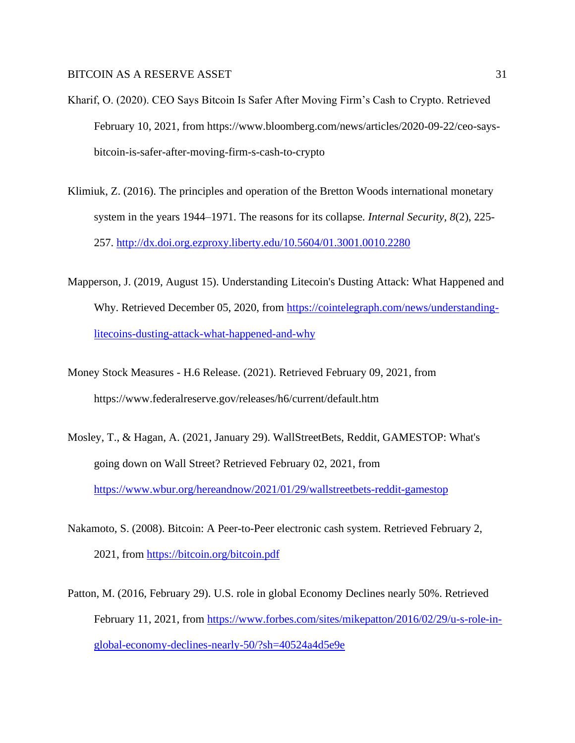- Kharif, O. (2020). CEO Says Bitcoin Is Safer After Moving Firm's Cash to Crypto. Retrieved February 10, 2021, from https://www.bloomberg.com/news/articles/2020-09-22/ceo-saysbitcoin-is-safer-after-moving-firm-s-cash-to-crypto
- Klimiuk, Z. (2016). The principles and operation of the Bretton Woods international monetary system in the years 1944–1971. The reasons for its collapse*. Internal Security, 8*(2), 225- 257.<http://dx.doi.org.ezproxy.liberty.edu/10.5604/01.3001.0010.2280>
- Mapperson, J. (2019, August 15). Understanding Litecoin's Dusting Attack: What Happened and Why. Retrieved December 05, 2020, from [https://cointelegraph.com/news/understanding](https://cointelegraph.com/news/understanding-litecoins-dusting-attack-what-happened-and-why)[litecoins-dusting-attack-what-happened-and-why](https://cointelegraph.com/news/understanding-litecoins-dusting-attack-what-happened-and-why)
- Money Stock Measures H.6 Release. (2021). Retrieved February 09, 2021, from https://www.federalreserve.gov/releases/h6/current/default.htm
- Mosley, T., & Hagan, A. (2021, January 29). WallStreetBets, Reddit, GAMESTOP: What's going down on Wall Street? Retrieved February 02, 2021, from <https://www.wbur.org/hereandnow/2021/01/29/wallstreetbets-reddit-gamestop>
- Nakamoto, S. (2008). Bitcoin: A Peer-to-Peer electronic cash system. Retrieved February 2, 2021, from<https://bitcoin.org/bitcoin.pdf>
- Patton, M. (2016, February 29). U.S. role in global Economy Declines nearly 50%. Retrieved February 11, 2021, from [https://www.forbes.com/sites/mikepatton/2016/02/29/u-s-role-in](https://www.forbes.com/sites/mikepatton/2016/02/29/u-s-role-in-global-economy-declines-nearly-50/?sh=40524a4d5e9e)[global-economy-declines-nearly-50/?sh=40524a4d5e9e](https://www.forbes.com/sites/mikepatton/2016/02/29/u-s-role-in-global-economy-declines-nearly-50/?sh=40524a4d5e9e)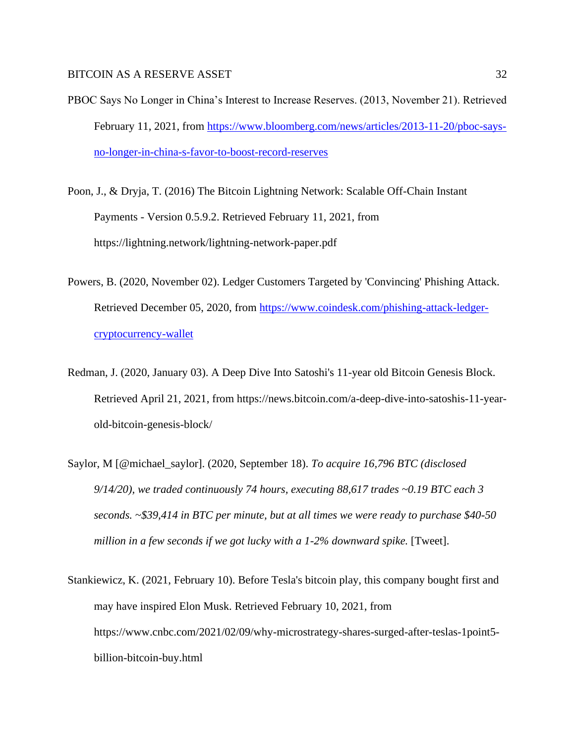- PBOC Says No Longer in China's Interest to Increase Reserves. (2013, November 21). Retrieved February 11, 2021, from [https://www.bloomberg.com/news/articles/2013-11-20/pboc-says](https://www.bloomberg.com/news/articles/2013-11-20/pboc-says-no-longer-in-china-s-favor-to-boost-record-reserves)[no-longer-in-china-s-favor-to-boost-record-reserves](https://www.bloomberg.com/news/articles/2013-11-20/pboc-says-no-longer-in-china-s-favor-to-boost-record-reserves)
- Poon, J., & Dryja, T. (2016) The Bitcoin Lightning Network: Scalable Off-Chain Instant Payments - Version 0.5.9.2. Retrieved February 11, 2021, from https://lightning.network/lightning-network-paper.pdf
- Powers, B. (2020, November 02). Ledger Customers Targeted by 'Convincing' Phishing Attack. Retrieved December 05, 2020, from [https://www.coindesk.com/phishing-attack-ledger](https://www.coindesk.com/phishing-attack-ledger-cryptocurrency-wallet)[cryptocurrency-wallet](https://www.coindesk.com/phishing-attack-ledger-cryptocurrency-wallet)
- Redman, J. (2020, January 03). A Deep Dive Into Satoshi's 11-year old Bitcoin Genesis Block. Retrieved April 21, 2021, from https://news.bitcoin.com/a-deep-dive-into-satoshis-11-yearold-bitcoin-genesis-block/
- Saylor, M [@michael\_saylor]. (2020, September 18). *To acquire 16,796 BTC (disclosed 9/14/20), we traded continuously 74 hours, executing 88,617 trades ~0.19 BTC each 3 seconds. ~\$39,414 in BTC per minute, but at all times we were ready to purchase \$40-50 million in a few seconds if we got lucky with a 1-2% downward spike.* [Tweet].
- Stankiewicz, K. (2021, February 10). Before Tesla's bitcoin play, this company bought first and may have inspired Elon Musk. Retrieved February 10, 2021, from https://www.cnbc.com/2021/02/09/why-microstrategy-shares-surged-after-teslas-1point5 billion-bitcoin-buy.html